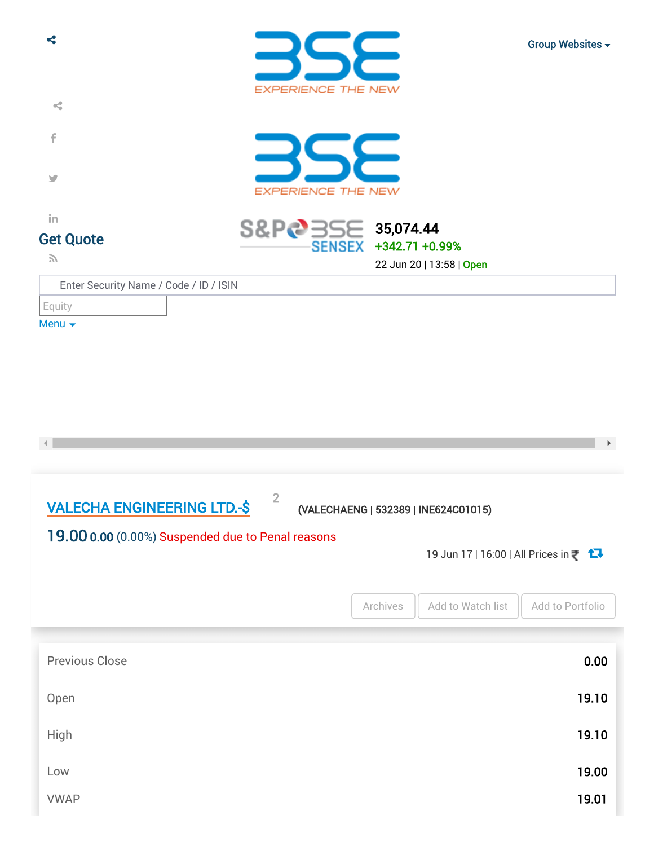| ሩ                                                                                       |                                     |                                                                             | Group Websites -      |
|-----------------------------------------------------------------------------------------|-------------------------------------|-----------------------------------------------------------------------------|-----------------------|
| $\prec^{\!\!\bullet}_\!\!$                                                              | <b>EXPERIENCE THE NEW</b>           |                                                                             |                       |
| f                                                                                       |                                     |                                                                             |                       |
| v                                                                                       | <b>EXPERIENCE THE NEW</b>           |                                                                             |                       |
| in<br><b>Get Quote</b>                                                                  | S&P&355E 35,074.44<br><b>SENSEX</b> | +342.71 +0.99%                                                              |                       |
| $\mathcal{L}$<br>Enter Security Name / Code / ID / ISIN                                 |                                     | 22 Jun 20   13:58   Open                                                    |                       |
| Equity                                                                                  |                                     |                                                                             |                       |
| Menu $\blacktriangleright$                                                              |                                     |                                                                             |                       |
| <b>VALECHA ENGINEERING LTD.-\$</b><br>19.00 0.00 (0.00%) Suspended due to Penal reasons | $\overline{2}$                      | (VALECHAENG   532389   INE624C01015)<br>19 Jun 17   16:00   All Prices in ₹ | $\blacktriangleright$ |
|                                                                                         |                                     | Archives<br>Add to Watch list                                               | Add to Portfolio      |
| <b>Previous Close</b>                                                                   |                                     |                                                                             | 0.00                  |
| Open                                                                                    |                                     |                                                                             | 19.10                 |
| <b>High</b>                                                                             |                                     |                                                                             | 19.10                 |
| Low                                                                                     |                                     |                                                                             | 19.00                 |
| <b>VWAP</b>                                                                             |                                     |                                                                             | 19.01                 |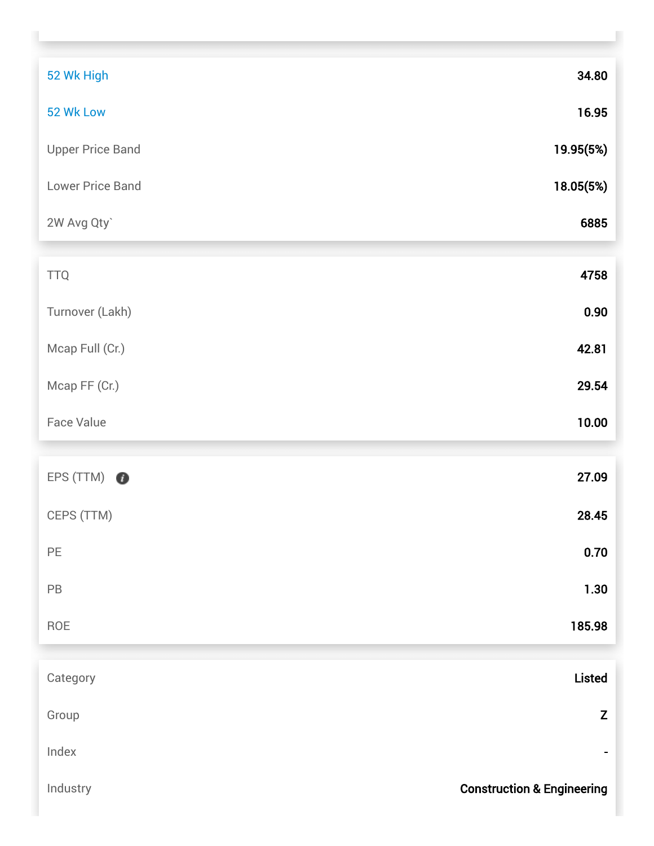| 52 Wk High              | 34.80                                 |
|-------------------------|---------------------------------------|
| 52 Wk Low               | 16.95                                 |
| <b>Upper Price Band</b> | 19.95(5%)                             |
| Lower Price Band        | 18.05(5%)                             |
| 2W Avg Qty`             | 6885                                  |
|                         |                                       |
| <b>TTQ</b>              | 4758                                  |
| Turnover (Lakh)         | 0.90                                  |
| Mcap Full (Cr.)         | 42.81                                 |
| Mcap FF (Cr.)           | 29.54                                 |
| <b>Face Value</b>       | 10.00                                 |
|                         |                                       |
| EPS (TTM)<br>$\bullet$  | 27.09                                 |
| CEPS (TTM)              | 28.45                                 |
| $\mathsf{PE}$           | 0.70                                  |
| $\mathsf{PB}$           | 1.30                                  |
| ROE                     | 185.98                                |
|                         |                                       |
| Category                | <b>Listed</b>                         |
| Group                   | Z                                     |
| Index                   |                                       |
| Industry                | <b>Construction &amp; Engineering</b> |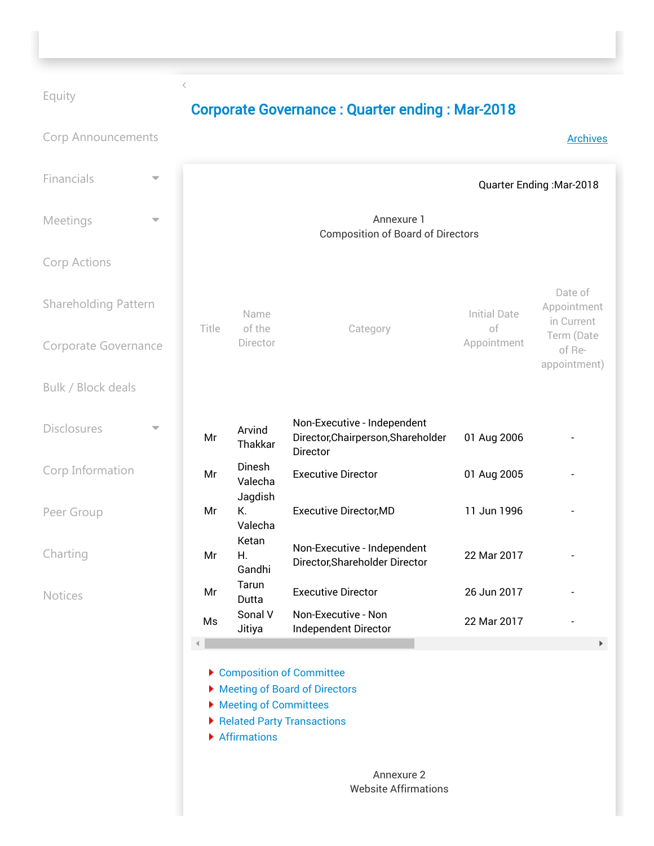## [Equity](https://www.bseindia.com/stock-share-price/valecha-engineering-ltd/valechaeng/532389/)

 $\overline{\left\langle \right\rangle }$ 

## Corporate Governance : Quarter ending : Mar-2018

| <b>Corp Announcements</b>   |                                                        |                                         |                                                                                         |                                      | <b>Archives</b>                      |
|-----------------------------|--------------------------------------------------------|-----------------------------------------|-----------------------------------------------------------------------------------------|--------------------------------------|--------------------------------------|
| Financials                  | Quarter Ending: Mar-2018                               |                                         |                                                                                         |                                      |                                      |
| Meetings                    | Annexure 1<br><b>Composition of Board of Directors</b> |                                         |                                                                                         |                                      |                                      |
| <b>Corp Actions</b>         |                                                        |                                         |                                                                                         |                                      |                                      |
| <b>Shareholding Pattern</b> | Title                                                  | Name<br>of the<br>Category<br>Director  | <b>Initial Date</b><br>of                                                               | Date of<br>Appointment<br>in Current |                                      |
| Corporate Governance        |                                                        |                                         |                                                                                         | Appointment                          | Term (Date<br>of Re-<br>appointment) |
| Bulk / Block deals          |                                                        |                                         |                                                                                         |                                      |                                      |
| <b>Disclosures</b>          | Mr                                                     | Arvind<br>Thakkar                       | Non-Executive - Independent<br>Director, Chairperson, Shareholder<br>Director           | 01 Aug 2006                          |                                      |
| Corp Information            | Mr                                                     | Dinesh<br>Valecha                       | <b>Executive Director</b>                                                               | 01 Aug 2005                          |                                      |
| Peer Group                  | Mr                                                     | Jagdish<br>К.<br>Valecha                | <b>Executive Director, MD</b>                                                           | 11 Jun 1996                          |                                      |
| Charting                    | Mr                                                     | Ketan<br>Η.<br>Gandhi                   | Non-Executive - Independent<br>Director, Shareholder Director                           | 22 Mar 2017                          |                                      |
| <b>Notices</b>              | Mr                                                     | Tarun<br>Dutta                          | <b>Executive Director</b>                                                               | 26 Jun 2017                          |                                      |
|                             | Ms                                                     | Sonal V<br>Jitiya                       | Non-Executive - Non<br>Independent Director                                             | 22 Mar 2017                          |                                      |
|                             |                                                        | ▶ Meeting of Committees<br>Affirmations | Composition of Committee<br>Meeting of Board of Directors<br>Related Party Transactions |                                      | Þ.                                   |

Annexure 2 Website Affirmations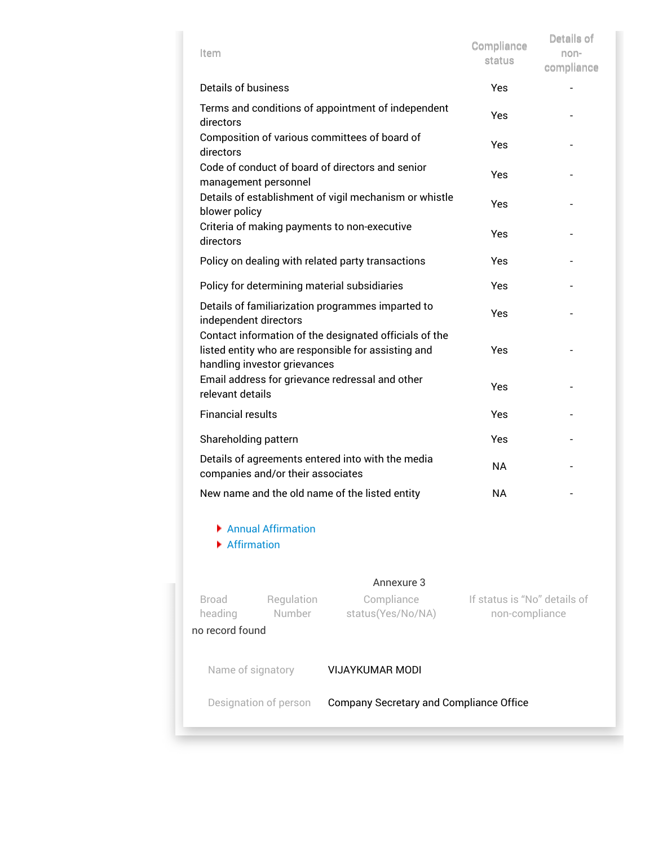| Item                                                                                                                                          | Compliance<br>status                                   | Details of<br>non-<br>compliance |  |  |  |
|-----------------------------------------------------------------------------------------------------------------------------------------------|--------------------------------------------------------|----------------------------------|--|--|--|
| Details of business                                                                                                                           |                                                        | Yes                              |  |  |  |
| Terms and conditions of appointment of independent<br>directors                                                                               | Yes                                                    |                                  |  |  |  |
| Composition of various committees of board of<br>directors                                                                                    | Yes                                                    |                                  |  |  |  |
| Code of conduct of board of directors and senior<br>management personnel                                                                      | Yes                                                    |                                  |  |  |  |
| blower policy                                                                                                                                 | Details of establishment of vigil mechanism or whistle | Yes                              |  |  |  |
| Criteria of making payments to non-executive<br>directors                                                                                     |                                                        | Yes                              |  |  |  |
| Policy on dealing with related party transactions                                                                                             | Yes                                                    |                                  |  |  |  |
| Policy for determining material subsidiaries                                                                                                  |                                                        | Yes                              |  |  |  |
| Details of familiarization programmes imparted to<br>independent directors                                                                    | Yes                                                    |                                  |  |  |  |
| Contact information of the designated officials of the<br>listed entity who are responsible for assisting and<br>handling investor grievances | Yes                                                    |                                  |  |  |  |
| Email address for grievance redressal and other<br>relevant details                                                                           | Yes                                                    |                                  |  |  |  |
| <b>Financial results</b>                                                                                                                      | Yes                                                    |                                  |  |  |  |
| Shareholding pattern                                                                                                                          | Yes                                                    |                                  |  |  |  |
| Details of agreements entered into with the media<br>companies and/or their associates                                                        | <b>NA</b>                                              |                                  |  |  |  |
| New name and the old name of the listed entity                                                                                                | NA                                                     |                                  |  |  |  |
| Annual Affirmation<br>Affirmation                                                                                                             |                                                        |                                  |  |  |  |
|                                                                                                                                               | Annexure 3                                             |                                  |  |  |  |
| <b>Broad</b><br>Regulation<br>heading<br><b>Number</b><br>no record found                                                                     | If status is "No" details of<br>non-compliance         |                                  |  |  |  |
|                                                                                                                                               |                                                        |                                  |  |  |  |
| Name of signatory                                                                                                                             | <b>VIJAYKUMAR MODI</b>                                 |                                  |  |  |  |
| Designation of person<br>Company Secretary and Compliance Office                                                                              |                                                        |                                  |  |  |  |